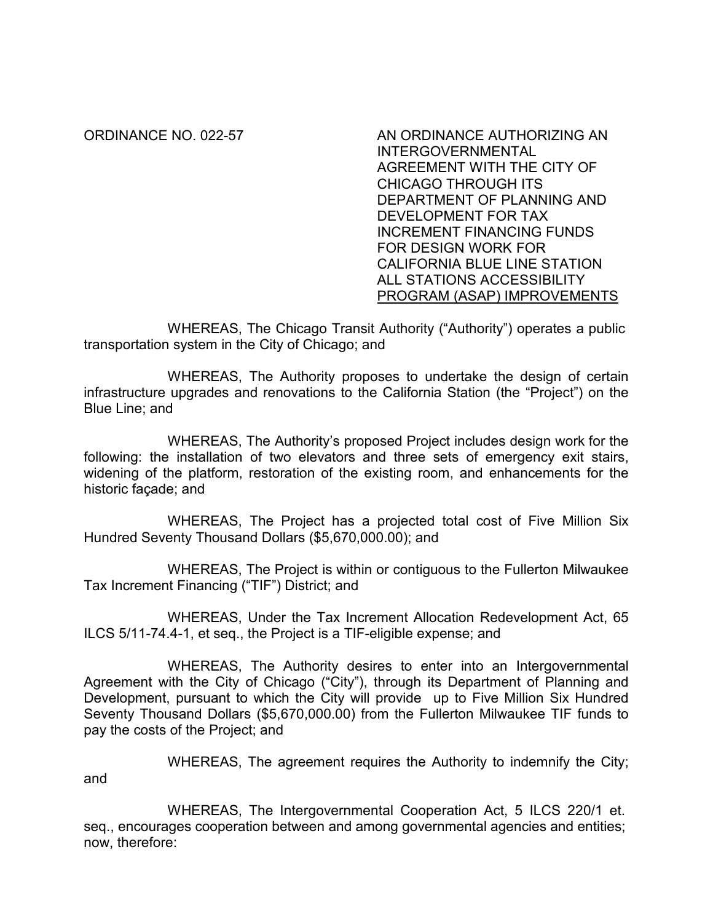## ORDINANCE NO. 022-57 AN ORDINANCE AUTHORIZING AN INTERGOVERNMENTAL AGREEMENT WITH THE CITY OF CHICAGO THROUGH ITS DEPARTMENT OF PLANNING AND DEVELOPMENT FOR TAX INCREMENT FINANCING FUNDS FOR DESIGN WORK FOR CALIFORNIA BLUE LINE STATION ALL STATIONS ACCESSIBILITY PROGRAM (ASAP) IMPROVEMENTS

WHEREAS, The Chicago Transit Authority ("Authority") operates a public transportation system in the City of Chicago; and

 WHEREAS, The Authority proposes to undertake the design of certain infrastructure upgrades and renovations to the California Station (the "Project") on the Blue Line; and

WHEREAS, The Authority's proposed Project includes design work for the following: the installation of two elevators and three sets of emergency exit stairs, widening of the platform, restoration of the existing room, and enhancements for the historic façade; and

WHEREAS, The Project has a projected total cost of Five Million Six Hundred Seventy Thousand Dollars (\$5,670,000.00); and

WHEREAS, The Project is within or contiguous to the Fullerton Milwaukee Tax Increment Financing ("TIF") District; and

WHEREAS, Under the Tax Increment Allocation Redevelopment Act, 65 ILCS 5/11-74.4-1, et seq., the Project is a TIF-eligible expense; and

WHEREAS, The Authority desires to enter into an Intergovernmental Agreement with the City of Chicago ("City"), through its Department of Planning and Development, pursuant to which the City will provide up to Five Million Six Hundred Seventy Thousand Dollars (\$5,670,000.00) from the Fullerton Milwaukee TIF funds to pay the costs of the Project; and

WHEREAS, The agreement requires the Authority to indemnify the City; and

WHEREAS, The Intergovernmental Cooperation Act, 5 ILCS 220/1 et. seq., encourages cooperation between and among governmental agencies and entities; now, therefore: